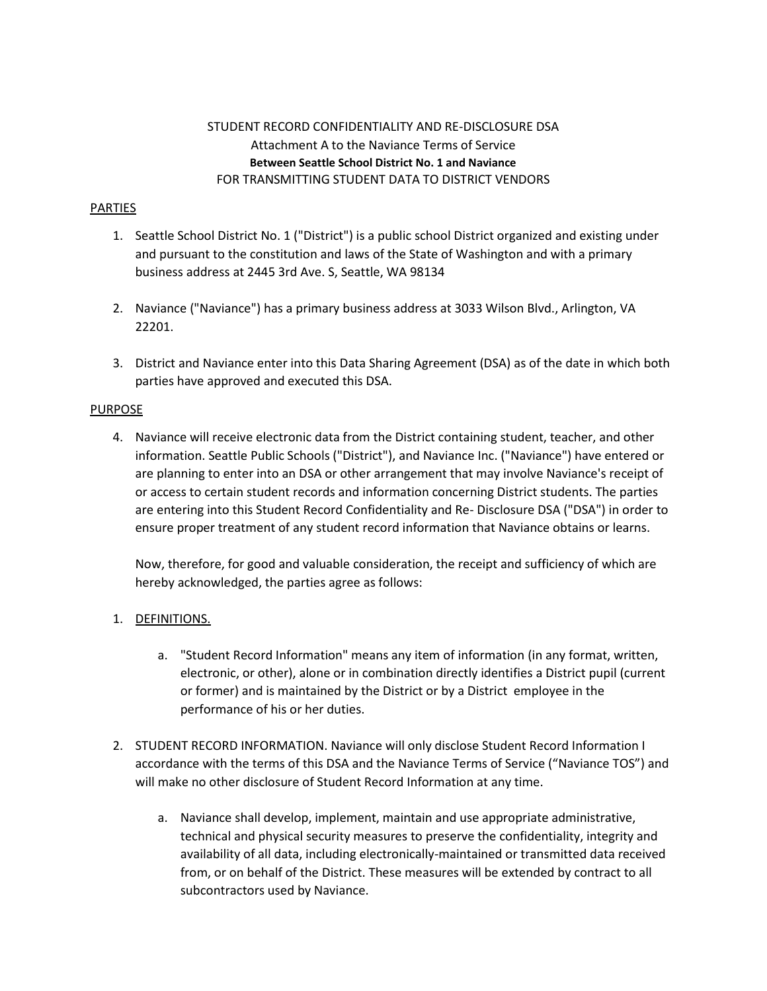# STUDENT RECORD CONFIDENTIALITY AND RE-DISCLOSURE DSA Attachment A to the Naviance Terms of Service **Between Seattle School District No. 1 and Naviance** FOR TRANSMITTING STUDENT DATA TO DISTRICT VENDORS

### PARTIES

- 1. Seattle School District No. 1 ("District") is a public school District organized and existing under and pursuant to the constitution and laws of the State of Washington and with a primary business address at 2445 3rd Ave. S, Seattle, WA 98134
- 2. Naviance ("Naviance") has a primary business address at 3033 Wilson Blvd., Arlington, VA 22201.
- 3. District and Naviance enter into this Data Sharing Agreement (DSA) as of the date in which both parties have approved and executed this DSA.

#### PURPOSE

4. Naviance will receive electronic data from the District containing student, teacher, and other information. Seattle Public Schools ("District"), and Naviance Inc. ("Naviance") have entered or are planning to enter into an DSA or other arrangement that may involve Naviance's receipt of or access to certain student records and information concerning District students. The parties are entering into this Student Record Confidentiality and Re- Disclosure DSA ("DSA") in order to ensure proper treatment of any student record information that Naviance obtains or learns.

Now, therefore, for good and valuable consideration, the receipt and sufficiency of which are hereby acknowledged, the parties agree as follows:

### 1. DEFINITIONS.

- a. "Student Record Information" means any item of information (in any format, written, electronic, or other), alone or in combination directly identifies a District pupil (current or former) and is maintained by the District or by a District employee in the performance of his or her duties.
- 2. STUDENT RECORD INFORMATION. Naviance will only disclose Student Record Information I accordance with the terms of this DSA and the Naviance Terms of Service ("Naviance TOS") and will make no other disclosure of Student Record Information at any time.
	- a. Naviance shall develop, implement, maintain and use appropriate administrative, technical and physical security measures to preserve the confidentiality, integrity and availability of all data, including electronically-maintained or transmitted data received from, or on behalf of the District. These measures will be extended by contract to all subcontractors used by Naviance.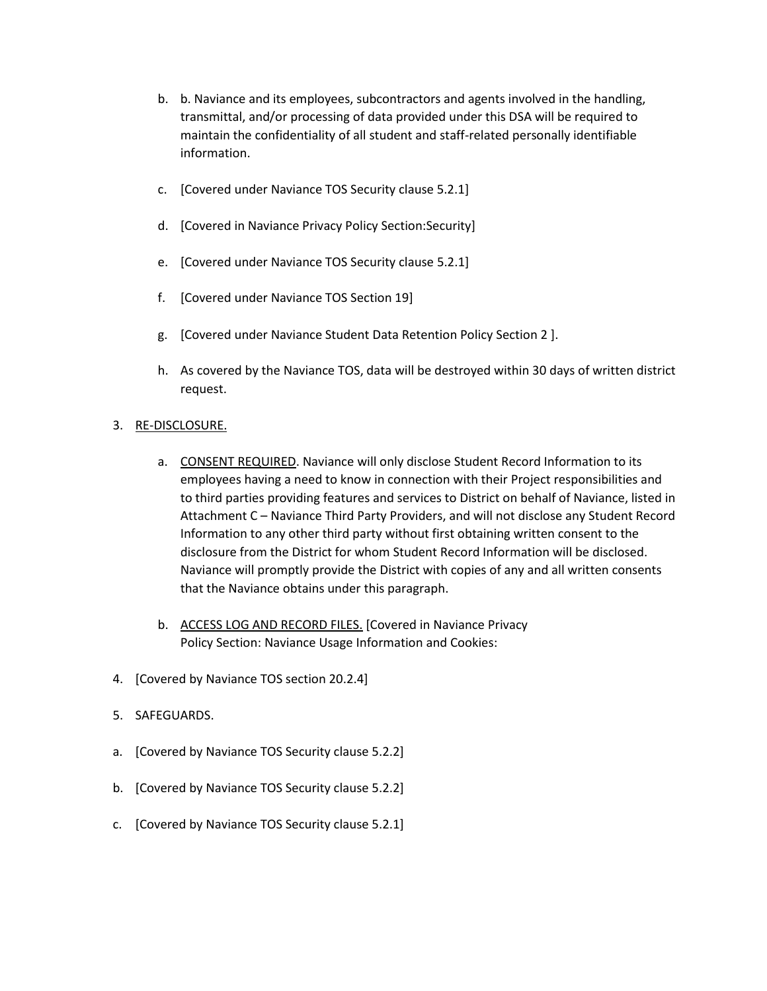- b. b. Naviance and its employees, subcontractors and agents involved in the handling, transmittal, and/or processing of data provided under this DSA will be required to maintain the confidentiality of all student and staff-related personally identifiable information.
- c. [Covered under Naviance TOS Security clause 5.2.1]
- d. [Covered in Naviance Privacy Policy Section:Security]
- e. [Covered under Naviance TOS Security clause 5.2.1]
- f. [Covered under Naviance TOS Section 19]
- g. [Covered under Naviance Student Data Retention Policy Section 2 ].
- h. As covered by the Naviance TOS, data will be destroyed within 30 days of written district request.
- 3. RE-DISCLOSURE.
	- a. CONSENT REQUIRED. Naviance will only disclose Student Record Information to its employees having a need to know in connection with their Project responsibilities and to third parties providing features and services to District on behalf of Naviance, listed in Attachment C – Naviance Third Party Providers, and will not disclose any Student Record Information to any other third party without first obtaining written consent to the disclosure from the District for whom Student Record Information will be disclosed. Naviance will promptly provide the District with copies of any and all written consents that the Naviance obtains under this paragraph.
	- b. ACCESS LOG AND RECORD FILES. [Covered in Naviance Privacy Policy Section: Naviance Usage Information and Cookies:
- 4. [Covered by Naviance TOS section 20.2.4]
- 5. SAFEGUARDS.
- a. [Covered by Naviance TOS Security clause 5.2.2]
- b. [Covered by Naviance TOS Security clause 5.2.2]
- c. [Covered by Naviance TOS Security clause 5.2.1]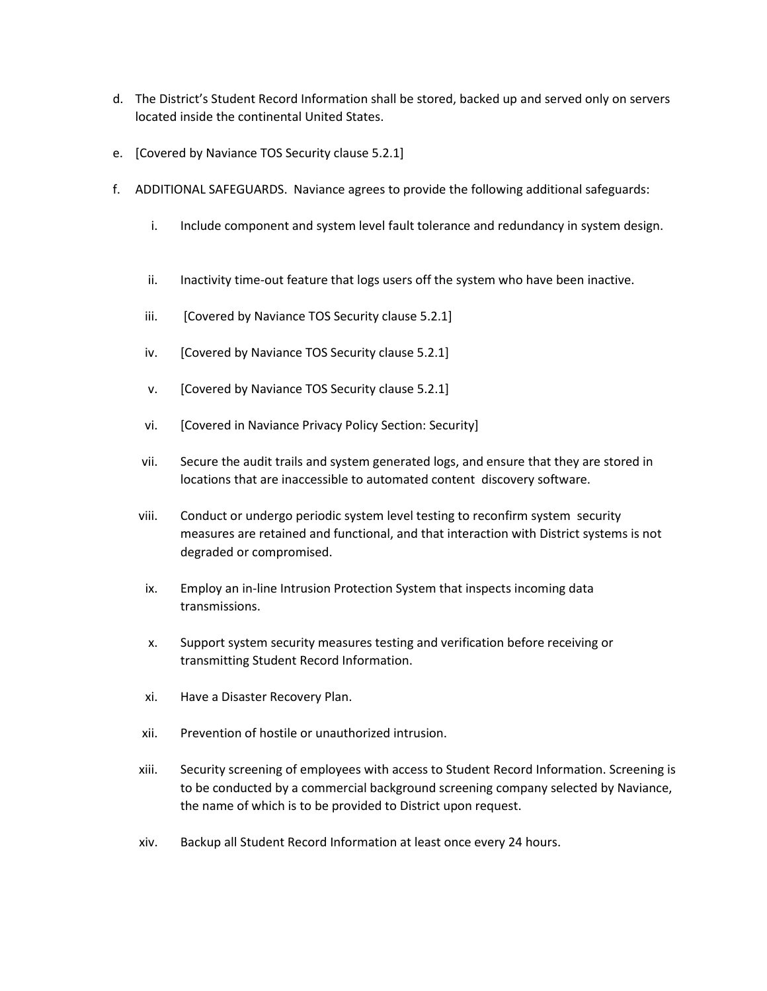- d. The District's Student Record Information shall be stored, backed up and served only on servers located inside the continental United States.
- e. [Covered by Naviance TOS Security clause 5.2.1]
- f. ADDITIONAL SAFEGUARDS. Naviance agrees to provide the following additional safeguards:
	- i. Include component and system level fault tolerance and redundancy in system design.
	- ii. Inactivity time-out feature that logs users off the system who have been inactive.
	- iii. [Covered by Naviance TOS Security clause 5.2.1]
	- iv. [Covered by Naviance TOS Security clause 5.2.1]
	- v. [Covered by Naviance TOS Security clause 5.2.1]
	- vi. [Covered in Naviance Privacy Policy Section: Security]
	- vii. Secure the audit trails and system generated logs, and ensure that they are stored in locations that are inaccessible to automated content discovery software.
	- viii. Conduct or undergo periodic system level testing to reconfirm system security measures are retained and functional, and that interaction with District systems is not degraded or compromised.
	- ix. Employ an in-line Intrusion Protection System that inspects incoming data transmissions.
	- x. Support system security measures testing and verification before receiving or transmitting Student Record Information.
	- xi. Have a Disaster Recovery Plan.
	- xii. Prevention of hostile or unauthorized intrusion.
	- xiii. Security screening of employees with access to Student Record Information. Screening is to be conducted by a commercial background screening company selected by Naviance, the name of which is to be provided to District upon request.
	- xiv. Backup all Student Record Information at least once every 24 hours.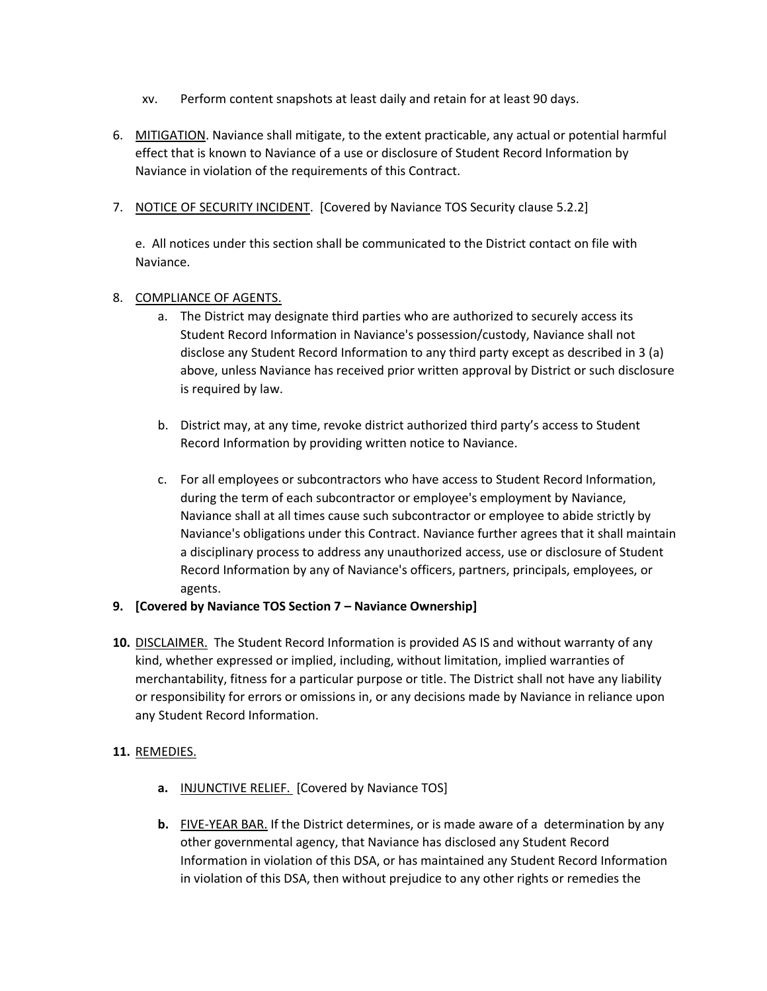- xv. Perform content snapshots at least daily and retain for at least 90 days.
- 6. MITIGATION. Naviance shall mitigate, to the extent practicable, any actual or potential harmful effect that is known to Naviance of a use or disclosure of Student Record Information by Naviance in violation of the requirements of this Contract.
- 7. NOTICE OF SECURITY INCIDENT. [Covered by Naviance TOS Security clause 5.2.2]

e. All notices under this section shall be communicated to the District contact on file with Naviance.

### 8. COMPLIANCE OF AGENTS.

- a. The District may designate third parties who are authorized to securely access its Student Record Information in Naviance's possession/custody, Naviance shall not disclose any Student Record Information to any third party except as described in 3 (a) above, unless Naviance has received prior written approval by District or such disclosure is required by law.
- b. District may, at any time, revoke district authorized third party's access to Student Record Information by providing written notice to Naviance.
- c. For all employees or subcontractors who have access to Student Record Information, during the term of each subcontractor or employee's employment by Naviance, Naviance shall at all times cause such subcontractor or employee to abide strictly by Naviance's obligations under this Contract. Naviance further agrees that it shall maintain a disciplinary process to address any unauthorized access, use or disclosure of Student Record Information by any of Naviance's officers, partners, principals, employees, or agents.

### **9. [Covered by Naviance TOS Section 7 – Naviance Ownership]**

**10.** DISCLAIMER. The Student Record Information is provided AS IS and without warranty of any kind, whether expressed or implied, including, without limitation, implied warranties of merchantability, fitness for a particular purpose or title. The District shall not have any liability or responsibility for errors or omissions in, or any decisions made by Naviance in reliance upon any Student Record Information.

### **11.** REMEDIES.

- **a.** INJUNCTIVE RELIEF. [Covered by Naviance TOS]
- **b.** FIVE-YEAR BAR. If the District determines, or is made aware of a determination by any other governmental agency, that Naviance has disclosed any Student Record Information in violation of this DSA, or has maintained any Student Record Information in violation of this DSA, then without prejudice to any other rights or remedies the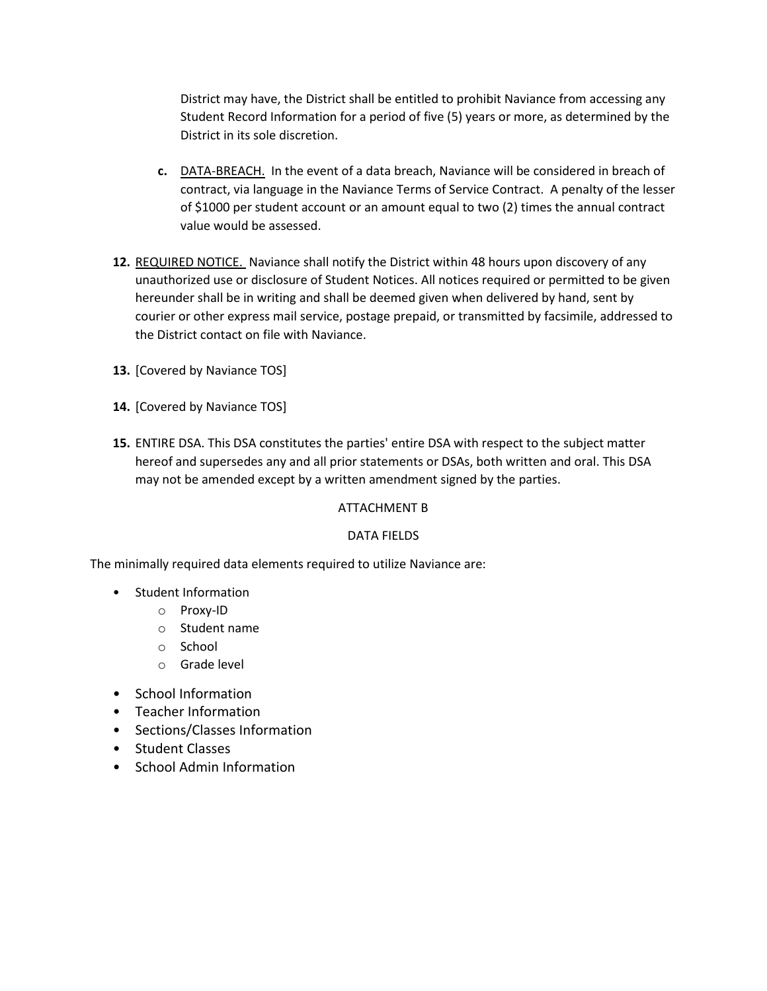District may have, the District shall be entitled to prohibit Naviance from accessing any Student Record Information for a period of five (5) years or more, as determined by the District in its sole discretion.

- **c.** DATA-BREACH. In the event of a data breach, Naviance will be considered in breach of contract, via language in the Naviance Terms of Service Contract. A penalty of the lesser of \$1000 per student account or an amount equal to two (2) times the annual contract value would be assessed.
- **12.** REQUIRED NOTICE. Naviance shall notify the District within 48 hours upon discovery of any unauthorized use or disclosure of Student Notices. All notices required or permitted to be given hereunder shall be in writing and shall be deemed given when delivered by hand, sent by courier or other express mail service, postage prepaid, or transmitted by facsimile, addressed to the District contact on file with Naviance.
- **13.** [Covered by Naviance TOS]
- **14.** [Covered by Naviance TOS]
- **15.** ENTIRE DSA. This DSA constitutes the parties' entire DSA with respect to the subject matter hereof and supersedes any and all prior statements or DSAs, both written and oral. This DSA may not be amended except by a written amendment signed by the parties.

### ATTACHMENT B

### DATA FIELDS

The minimally required data elements required to utilize Naviance are:

- Student Information
	- o Proxy-ID
	- o Student name
	- o School
	- o Grade level
- School Information
- Teacher Information
- Sections/Classes Information
- Student Classes
- School Admin Information